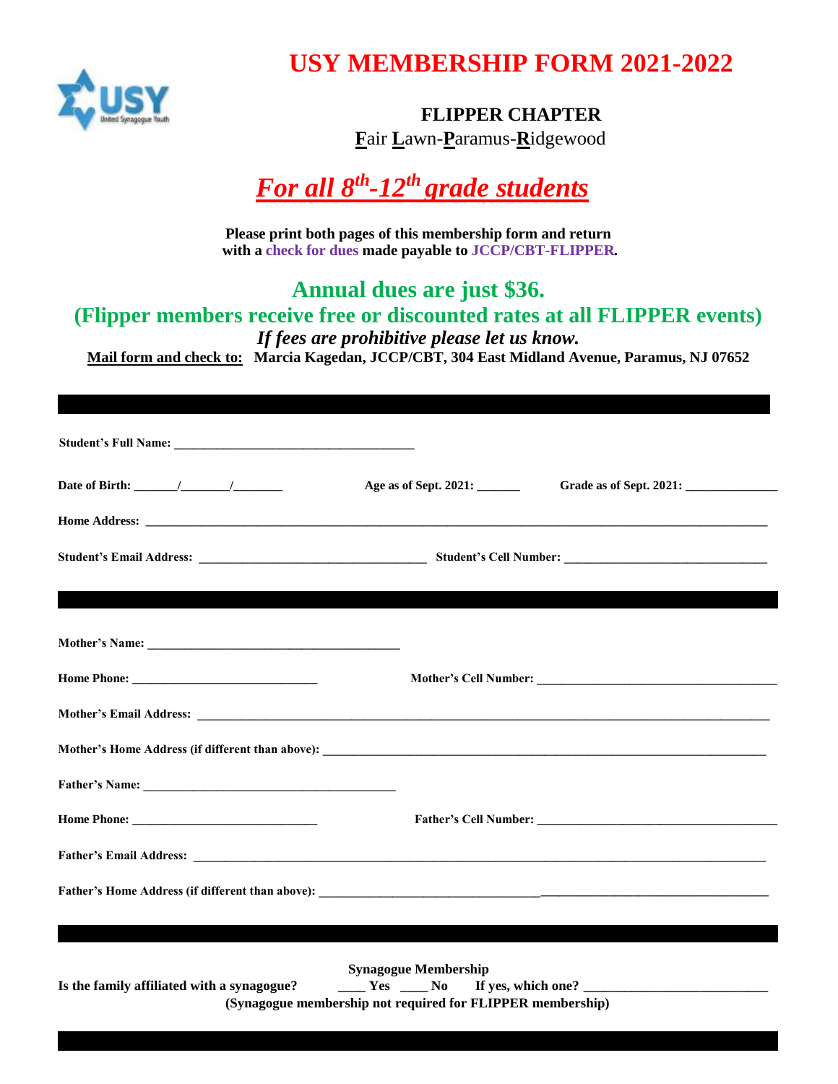

## **USY MEMBERSHIP FORM 2021-2022**

### **FLIPPER CHAPTER**

**F**air **L**awn-**P**aramus-**R**idgewood

# *For all 8 th -12th grade students*

**Please print both pages of this membership form and return with a check for dues made payable to JCCP/CBT-FLIPPER***.*

### **Annual dues are just \$36. (Flipper members receive free or discounted rates at all FLIPPER events)**

*If fees are prohibitive please let us know.*

**Mail form and check to: Marcia Kagedan, JCCP/CBT, 304 East Midland Avenue, Paramus, NJ 07652**

| Age as of Sept. 2021: _______<br><u> 1989 - Andrea Stadt Gallery, amerikansk politik (* 1989)</u> |
|---------------------------------------------------------------------------------------------------|
|                                                                                                   |
|                                                                                                   |
|                                                                                                   |
|                                                                                                   |
|                                                                                                   |
|                                                                                                   |
|                                                                                                   |
|                                                                                                   |
|                                                                                                   |
| Father's Cell Number: New York 1988                                                               |
|                                                                                                   |
|                                                                                                   |
|                                                                                                   |
| <b>Synagogue Membership</b>                                                                       |
|                                                                                                   |